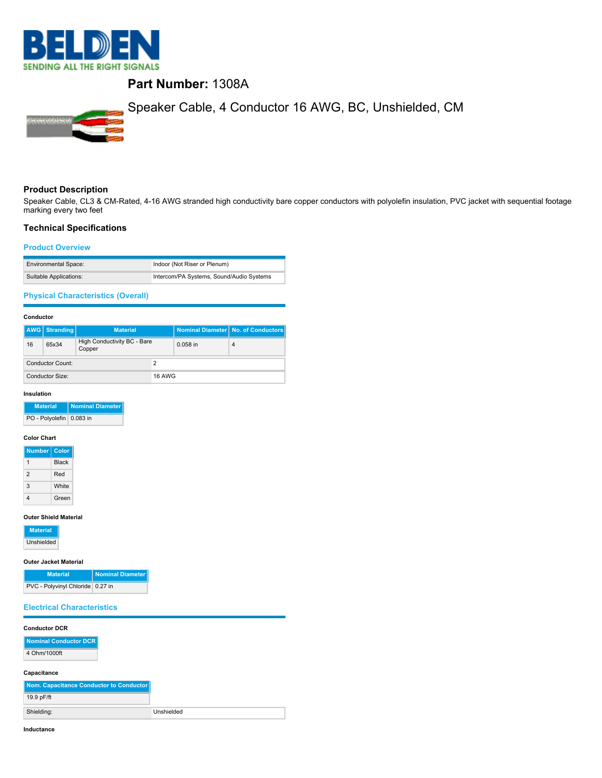

# **Part Number:** 1308A



### **Product Description**

Speaker Cable, CL3 & CM-Rated, 4-16 AWG stranded high conductivity bare copper conductors with polyolefin insulation, PVC jacket with sequential footage marking every two feet

#### **Technical Specifications**

### **Product Overview**

| <b>Environmental Space:</b> | Indoor (Not Riser or Plenum)             |
|-----------------------------|------------------------------------------|
| Suitable Applications:      | Intercom/PA Systems, Sound/Audio Systems |

## **Physical Characteristics (Overall)**

#### **Conductor**

|                  | <b>AWG</b> Stranding | <b>Material</b>                       |               |            | Nominal Diameter No. of Conductors |
|------------------|----------------------|---------------------------------------|---------------|------------|------------------------------------|
| 16               | 65x34                | High Conductivity BC - Bare<br>Copper |               | $0.058$ in | 4                                  |
| Conductor Count: |                      |                                       |               |            |                                    |
|                  | Conductor Size:      |                                       | <b>16 AWG</b> |            |                                    |

#### **Insulation**

| <b>Material</b>          | Nominal Diameter |
|--------------------------|------------------|
| PO - Polyolefin 0.083 in |                  |

### **Color Chart**

| <b>Number</b>  | Color        |
|----------------|--------------|
|                | <b>Black</b> |
| $\mathfrak{p}$ | Red          |
| 3              | White        |
|                | Green        |

#### **Outer Shield Material**

| <b>Material</b> |
|-----------------|
| Unshielded      |

### **Outer Jacket Material**

| <b>Material</b>                  | Nominal Diameter |
|----------------------------------|------------------|
| PVC - Polyvinyl Chloride 0.27 in |                  |

### **Electrical Characteristics**

#### **Conductor DCR**

| <b>Nominal Conductor DCR</b> |
|------------------------------|
| 4 Ohm/1000ft                 |

# **Capacitance**

| Nom. Capacitance Conductor to Conductor |            |
|-----------------------------------------|------------|
| 19.9 pF/ft                              |            |
| Shielding:                              | Unshielded |

**Inductance**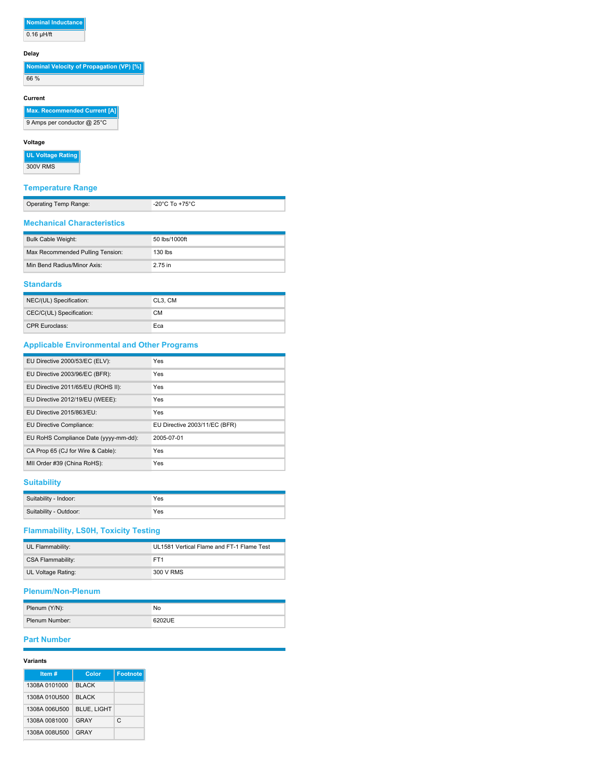### **Nominal Inductance**  $0.16$  µH/ft

#### **Delay**

**Nominal Velocity of Propagation (VP) [%]** 

66 %

## **Current**

**Max. Recommended Current [A]**

9 Amps per conductor @ 25°C

### **Voltage**

**UL Voltage Rating**

300V RMS

## **Temperature Range**

| Operating Temp Range: | -20 $^{\circ}$ C To +75 $^{\circ}$ C |
|-----------------------|--------------------------------------|
|                       |                                      |

### **Mechanical Characteristics**

| Bulk Cable Weight:               | 50 lbs/1000ft |
|----------------------------------|---------------|
| Max Recommended Pulling Tension: | $130$ lbs     |
| Min Bend Radius/Minor Axis:      | 2.75 in       |

### **Standards**

| NEC/(UL) Specification:  | CL3, CM |
|--------------------------|---------|
| CEC/C(UL) Specification: | CМ      |
| <b>CPR Euroclass:</b>    | Eca     |

## **Applicable Environmental and Other Programs**

| EU Directive 2000/53/EC (ELV):        | Yes                           |
|---------------------------------------|-------------------------------|
| EU Directive 2003/96/EC (BFR):        | Yes                           |
| EU Directive 2011/65/EU (ROHS II):    | Yes                           |
| EU Directive 2012/19/EU (WEEE):       | Yes                           |
| EU Directive 2015/863/EU:             | Yes                           |
| EU Directive Compliance:              | EU Directive 2003/11/EC (BFR) |
| EU RoHS Compliance Date (yyyy-mm-dd): | 2005-07-01                    |
| CA Prop 65 (CJ for Wire & Cable):     | Yes                           |
| MII Order #39 (China RoHS):           | Yes                           |

### **Suitability**

| Suitability - Indoor:  | Yes |
|------------------------|-----|
| Suitability - Outdoor: | Yes |

# **Flammability, LS0H, Toxicity Testing**

| UL Flammability:   | UL1581 Vertical Flame and FT-1 Flame Test |
|--------------------|-------------------------------------------|
| CSA Flammability:  | FT <sub>1</sub>                           |
| UL Voltage Rating: | 300 V RMS                                 |

### **Plenum/Non-Plenum**

| Plenum (Y/N):  | No     |
|----------------|--------|
| Plenum Number: | 6202UE |

# **Part Number**

#### **Variants**

| Item #        | Color              | <b>Footnote</b> |
|---------------|--------------------|-----------------|
| 1308A 0101000 | <b>BLACK</b>       |                 |
| 1308A 010U500 | <b>BLACK</b>       |                 |
| 1308A 006U500 | <b>BLUE, LIGHT</b> |                 |
| 1308A 0081000 | GRAY               | C.              |
| 1308A 008U500 | GRAY               |                 |